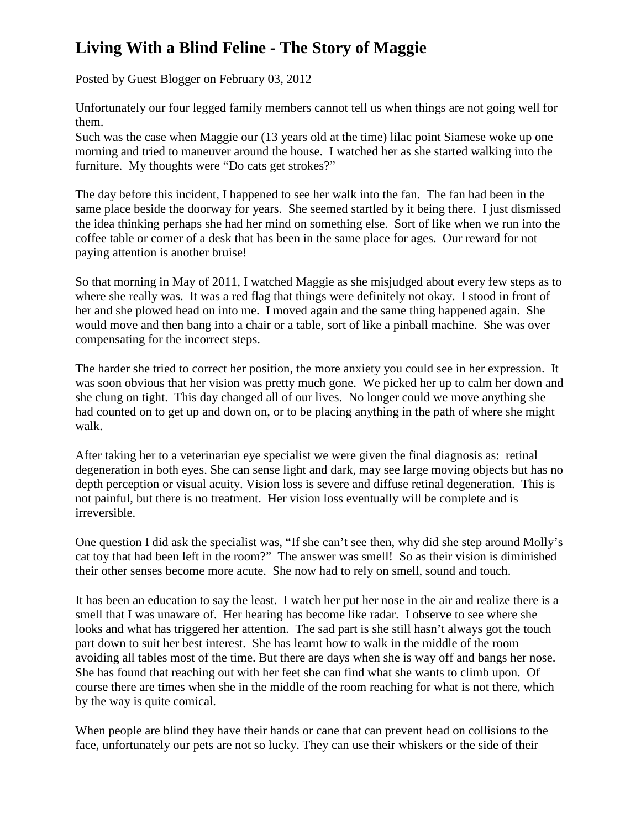## **Living With a Blind Feline - The Story of Maggie**

Posted by Guest Blogger on February 03, 2012

Unfortunately our four legged family members cannot tell us when things are not going well for them.

Such was the case when Maggie our (13 years old at the time) lilac point Siamese woke up one morning and tried to maneuver around the house. I watched her as she started walking into the furniture. My thoughts were "Do cats get strokes?"

The day before this incident, I happened to see her walk into the fan. The fan had been in the same place beside the doorway for years. She seemed startled by it being there. I just dismissed the idea thinking perhaps she had her mind on something else. Sort of like when we run into the coffee table or corner of a desk that has been in the same place for ages. Our reward for not paying attention is another bruise!

So that morning in May of 2011, I watched Maggie as she misjudged about every few steps as to where she really was. It was a red flag that things were definitely not okay. I stood in front of her and she plowed head on into me. I moved again and the same thing happened again. She would move and then bang into a chair or a table, sort of like a pinball machine. She was over compensating for the incorrect steps.

The harder she tried to correct her position, the more anxiety you could see in her expression. It was soon obvious that her vision was pretty much gone. We picked her up to calm her down and she clung on tight. This day changed all of our lives. No longer could we move anything she had counted on to get up and down on, or to be placing anything in the path of where she might walk.

After taking her to a veterinarian eye specialist we were given the final diagnosis as: retinal degeneration in both eyes. She can sense light and dark, may see large moving objects but has no depth perception or visual acuity. Vision loss is severe and diffuse retinal degeneration. This is not painful, but there is no treatment. Her vision loss eventually will be complete and is irreversible.

One question I did ask the specialist was, "If she can't see then, why did she step around Molly's cat toy that had been left in the room?" The answer was smell! So as their vision is diminished their other senses become more acute. She now had to rely on smell, sound and touch.

It has been an education to say the least. I watch her put her nose in the air and realize there is a smell that I was unaware of. Her hearing has become like radar. I observe to see where she looks and what has triggered her attention. The sad part is she still hasn't always got the touch part down to suit her best interest. She has learnt how to walk in the middle of the room avoiding all tables most of the time. But there are days when she is way off and bangs her nose. She has found that reaching out with her feet she can find what she wants to climb upon. Of course there are times when she in the middle of the room reaching for what is not there, which by the way is quite comical.

When people are blind they have their hands or cane that can prevent head on collisions to the face, unfortunately our pets are not so lucky. They can use their whiskers or the side of their